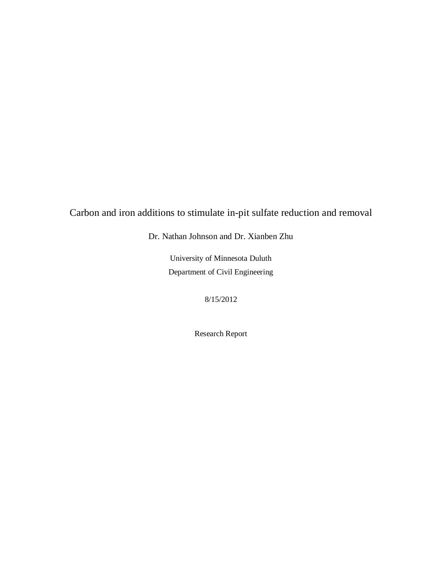Carbon and iron additions to stimulate in-pit sulfate reduction and removal

Dr. Nathan Johnson and Dr. Xianben Zhu

University of Minnesota Duluth Department of Civil Engineering

8/15/2012

Research Report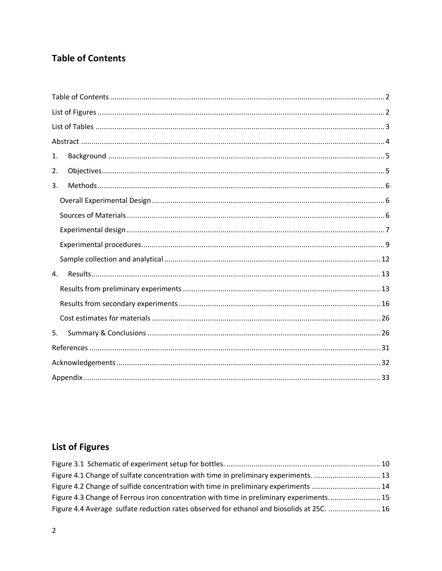## <span id="page-1-0"></span>**Table of Contents**

| 1. |  |
|----|--|
| 2. |  |
| 3. |  |
|    |  |
|    |  |
|    |  |
|    |  |
|    |  |
| 4. |  |
|    |  |
|    |  |
|    |  |
| 5. |  |
|    |  |
|    |  |
|    |  |

# <span id="page-1-1"></span>**List of Figures**

| Figure 4.1 Change of sulfate concentration with time in preliminary experiments.  13      |  |
|-------------------------------------------------------------------------------------------|--|
| Figure 4.2 Change of sulfide concentration with time in preliminary experiments 14        |  |
| Figure 4.3 Change of Ferrous iron concentration with time in preliminary experiments 15   |  |
| Figure 4.4 Average sulfate reduction rates observed for ethanol and biosolids at 25C.  16 |  |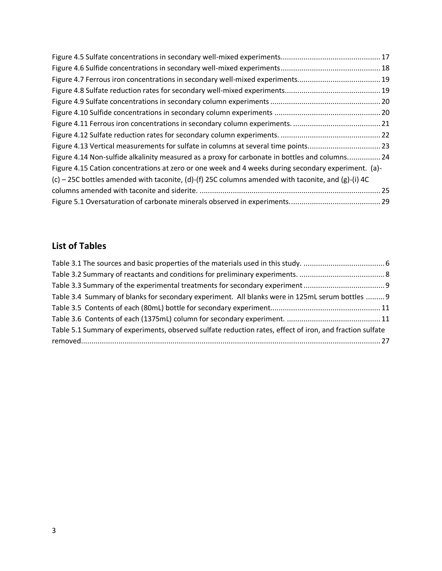| Figure 4.13 Vertical measurements for sulfate in columns at several time points23                   |  |
|-----------------------------------------------------------------------------------------------------|--|
| Figure 4.14 Non-sulfide alkalinity measured as a proxy for carbonate in bottles and columns 24      |  |
| Figure 4.15 Cation concentrations at zero or one week and 4 weeks during secondary experiment. (a)- |  |
| (c) – 25C bottles amended with taconite, (d)-(f) 25C columns amended with taconite, and (g)-(i) 4C  |  |
|                                                                                                     |  |
|                                                                                                     |  |

## <span id="page-2-0"></span>**List of Tables**

| Table 3.4 Summary of blanks for secondary experiment. All blanks were in 125mL serum bottles  9          |  |
|----------------------------------------------------------------------------------------------------------|--|
|                                                                                                          |  |
|                                                                                                          |  |
| Table 5.1 Summary of experiments, observed sulfate reduction rates, effect of iron, and fraction sulfate |  |
|                                                                                                          |  |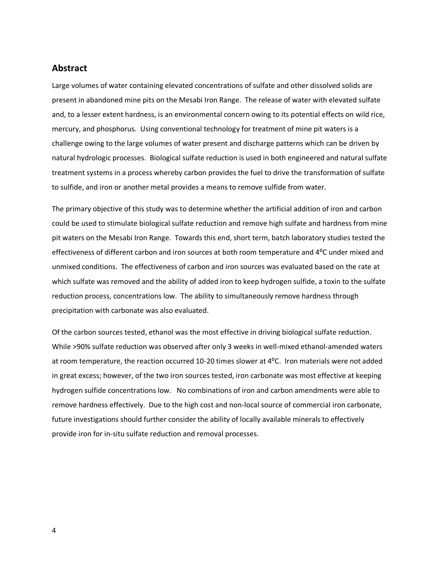#### <span id="page-3-0"></span>**Abstract**

Large volumes of water containing elevated concentrations of sulfate and other dissolved solids are present in abandoned mine pits on the Mesabi Iron Range. The release of water with elevated sulfate and, to a lesser extent hardness, is an environmental concern owing to its potential effects on wild rice, mercury, and phosphorus. Using conventional technology for treatment of mine pit waters is a challenge owing to the large volumes of water present and discharge patterns which can be driven by natural hydrologic processes. Biological sulfate reduction is used in both engineered and natural sulfate treatment systems in a process whereby carbon provides the fuel to drive the transformation of sulfate to sulfide, and iron or another metal provides a means to remove sulfide from water.

The primary objective of this study was to determine whether the artificial addition of iron and carbon could be used to stimulate biological sulfate reduction and remove high sulfate and hardness from mine pit waters on the Mesabi Iron Range. Towards this end, short term, batch laboratory studies tested the effectiveness of different carbon and iron sources at both room temperature and 4⁰C under mixed and unmixed conditions. The effectiveness of carbon and iron sources was evaluated based on the rate at which sulfate was removed and the ability of added iron to keep hydrogen sulfide, a toxin to the sulfate reduction process, concentrations low. The ability to simultaneously remove hardness through precipitation with carbonate was also evaluated.

Of the carbon sources tested, ethanol was the most effective in driving biological sulfate reduction. While >90% sulfate reduction was observed after only 3 weeks in well-mixed ethanol-amended waters at room temperature, the reaction occurred 10-20 times slower at 4<sup>o</sup>C. Iron materials were not added in great excess; however, of the two iron sources tested, iron carbonate was most effective at keeping hydrogen sulfide concentrations low. No combinations of iron and carbon amendments were able to remove hardness effectively. Due to the high cost and non-local source of commercial iron carbonate, future investigations should further consider the ability of locally available minerals to effectively provide iron for in-situ sulfate reduction and removal processes.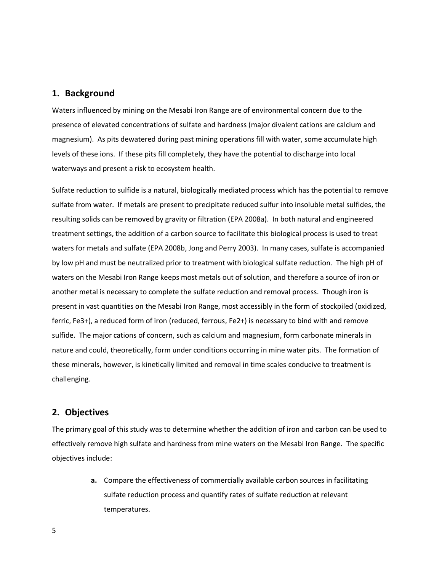#### <span id="page-4-0"></span>**1. Background**

Waters influenced by mining on the Mesabi Iron Range are of environmental concern due to the presence of elevated concentrations of sulfate and hardness (major divalent cations are calcium and magnesium). As pits dewatered during past mining operations fill with water, some accumulate high levels of these ions. If these pits fill completely, they have the potential to discharge into local waterways and present a risk to ecosystem health.

Sulfate reduction to sulfide is a natural, biologically mediated process which has the potential to remove sulfate from water. If metals are present to precipitate reduced sulfur into insoluble metal sulfides, the resulting solids can be removed by gravity or filtration (EPA 2008a). In both natural and engineered treatment settings, the addition of a carbon source to facilitate this biological process is used to treat waters for metals and sulfate (EPA 2008b, Jong and Perry 2003). In many cases, sulfate is accompanied by low pH and must be neutralized prior to treatment with biological sulfate reduction. The high pH of waters on the Mesabi Iron Range keeps most metals out of solution, and therefore a source of iron or another metal is necessary to complete the sulfate reduction and removal process. Though iron is present in vast quantities on the Mesabi Iron Range, most accessibly in the form of stockpiled (oxidized, ferric, Fe3+), a reduced form of iron (reduced, ferrous, Fe2+) is necessary to bind with and remove sulfide. The major cations of concern, such as calcium and magnesium, form carbonate minerals in nature and could, theoretically, form under conditions occurring in mine water pits. The formation of these minerals, however, is kinetically limited and removal in time scales conducive to treatment is challenging.

#### <span id="page-4-1"></span>**2. Objectives**

The primary goal of this study was to determine whether the addition of iron and carbon can be used to effectively remove high sulfate and hardness from mine waters on the Mesabi Iron Range. The specific objectives include:

> **a.** Compare the effectiveness of commercially available carbon sources in facilitating sulfate reduction process and quantify rates of sulfate reduction at relevant temperatures.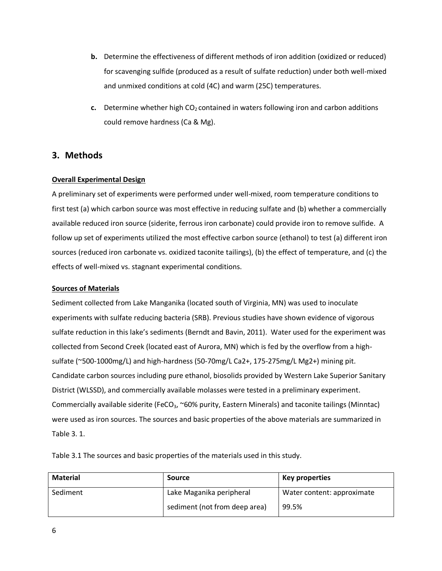- **b.** Determine the effectiveness of different methods of iron addition (oxidized or reduced) for scavenging sulfide (produced as a result of sulfate reduction) under both well-mixed and unmixed conditions at cold (4C) and warm (25C) temperatures.
- **c.** Determine whether high  $CO<sub>2</sub>$  contained in waters following iron and carbon additions could remove hardness (Ca & Mg).

### <span id="page-5-0"></span>**3. Methods**

#### <span id="page-5-1"></span>**Overall Experimental Design**

A preliminary set of experiments were performed under well-mixed, room temperature conditions to first test (a) which carbon source was most effective in reducing sulfate and (b) whether a commercially available reduced iron source (siderite, ferrous iron carbonate) could provide iron to remove sulfide. A follow up set of experiments utilized the most effective carbon source (ethanol) to test (a) different iron sources (reduced iron carbonate vs. oxidized taconite tailings), (b) the effect of temperature, and (c) the effects of well-mixed vs. stagnant experimental conditions.

#### <span id="page-5-2"></span>**Sources of Materials**

Sediment collected from Lake Manganika (located south of Virginia, MN) was used to inoculate experiments with sulfate reducing bacteria (SRB). Previous studies have shown evidence of vigorous sulfate reduction in this lake's sediments (Berndt and Bavin, 2011). Water used for the experiment was collected from Second Creek (located east of Aurora, MN) which is fed by the overflow from a highsulfate (~500-1000mg/L) and high-hardness (50-70mg/L Ca2+, 175-275mg/L Mg2+) mining pit. Candidate carbon sources including pure ethanol, biosolids provided by Western Lake Superior Sanitary District (WLSSD), and commercially available molasses were tested in a preliminary experiment. Commercially available siderite (FeCO<sub>3</sub>, ~60% purity, Eastern Minerals) and taconite tailings (Minntac) were used as iron sources. The sources and basic properties of the above materials are summarized in Table 3. 1.

**Material Source Key properties** Sediment **Lake Maganika peripheral** sediment (not from deep area) Water content: approximate 99.5%

<span id="page-5-3"></span>Table 3.1 The sources and basic properties of the materials used in this study.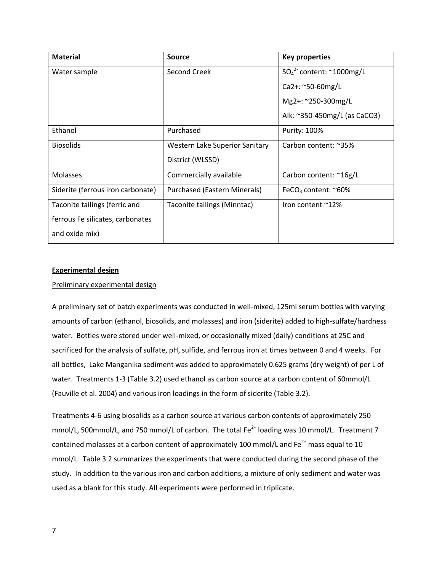| <b>Material</b>                   | Source                                | <b>Key properties</b>                    |
|-----------------------------------|---------------------------------------|------------------------------------------|
| Water sample                      | Second Creek                          | $SO_4^2$ content: ~1000mg/L              |
|                                   |                                       | $Ca2+:$ ~50-60mg/L                       |
|                                   |                                       | Mg2+: ~250-300mg/L                       |
|                                   |                                       | Alk: ~350-450mg/L (as CaCO3)             |
| Ethanol                           | Purchased                             | Purity: 100%                             |
| <b>Biosolids</b>                  | <b>Western Lake Superior Sanitary</b> | Carbon content: ~35%                     |
|                                   | District (WLSSD)                      |                                          |
| <b>Molasses</b>                   | Commercially available                | Carbon content: ~16g/L                   |
| Siderite (ferrous iron carbonate) | Purchased (Eastern Minerals)          | FeCO <sub>3</sub> content: $^{\sim}60\%$ |
| Taconite tailings (ferric and     | Taconite tailings (Minntac)           | Iron content $^{\sim}12\%$               |
| ferrous Fe silicates, carbonates  |                                       |                                          |
| and oxide mix)                    |                                       |                                          |

#### <span id="page-6-0"></span>**Experimental design**

#### Preliminary experimental design

A preliminary set of batch experiments was conducted in well-mixed, 125ml serum bottles with varying amounts of carbon (ethanol, biosolids, and molasses) and iron (siderite) added to high-sulfate/hardness water. Bottles were stored under well-mixed, or occasionally mixed (daily) conditions at 25C and sacrificed for the analysis of sulfate, pH, sulfide, and ferrous iron at times between 0 and 4 weeks. For all bottles, Lake Manganika sediment was added to approximately 0.625 grams (dry weight) of per L of water. Treatments 1-3 (Table 3.2) used ethanol as carbon source at a carbon content of 60mmol/L (Fauville et al. 2004) and various iron loadings in the form of siderite (Table 3.2).

Treatments 4-6 using biosolids as a carbon source at various carbon contents of approximately 250 mmol/L, 500mmol/L, and 750 mmol/L of carbon. The total  $Fe^{2+}$  loading was 10 mmol/L. Treatment 7 contained molasses at a carbon content of approximately 100 mmol/L and  $Fe^{2+}$  mass equal to 10 mmol/L. Table 3.2 summarizes the experiments that were conducted during the second phase of the study. In addition to the various iron and carbon additions, a mixture of only sediment and water was used as a blank for this study. All experiments were performed in triplicate.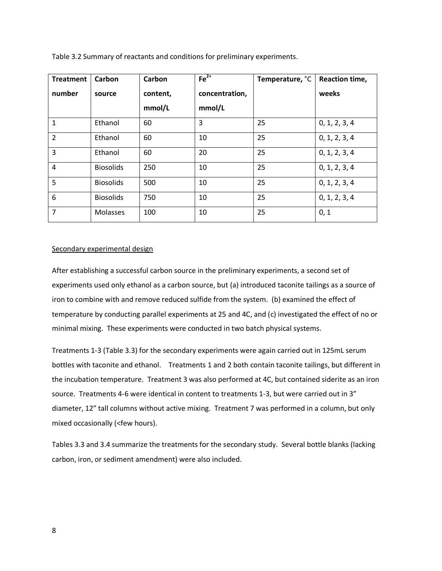| <b>Treatment</b> | Carbon           | Carbon   | $Fe2+$         | Temperature, °C | Reaction time, |
|------------------|------------------|----------|----------------|-----------------|----------------|
| number           | source           | content, | concentration, |                 | weeks          |
|                  |                  | mmol/L   | mmol/L         |                 |                |
| 1                | Ethanol          | 60       | 3              | 25              | 0, 1, 2, 3, 4  |
| $\overline{2}$   | Ethanol          | 60       | 10             | 25              | 0, 1, 2, 3, 4  |
| 3                | Ethanol          | 60       | 20             | 25              | 0, 1, 2, 3, 4  |
| 4                | <b>Biosolids</b> | 250      | 10             | 25              | 0, 1, 2, 3, 4  |
| 5                | <b>Biosolids</b> | 500      | 10             | 25              | 0, 1, 2, 3, 4  |
| 6                | <b>Biosolids</b> | 750      | 10             | 25              | 0, 1, 2, 3, 4  |
| 7                | Molasses         | 100      | 10             | 25              | 0, 1           |

<span id="page-7-0"></span>Table 3.2 Summary of reactants and conditions for preliminary experiments.

#### Secondary experimental design

After establishing a successful carbon source in the preliminary experiments, a second set of experiments used only ethanol as a carbon source, but (a) introduced taconite tailings as a source of iron to combine with and remove reduced sulfide from the system. (b) examined the effect of temperature by conducting parallel experiments at 25 and 4C, and (c) investigated the effect of no or minimal mixing. These experiments were conducted in two batch physical systems.

Treatments 1-3 (Table 3.3) for the secondary experiments were again carried out in 125mL serum bottles with taconite and ethanol. Treatments 1 and 2 both contain taconite tailings, but different in the incubation temperature. Treatment 3 was also performed at 4C, but contained siderite as an iron source. Treatments 4-6 were identical in content to treatments 1-3, but were carried out in 3" diameter, 12" tall columns without active mixing. Treatment 7 was performed in a column, but only mixed occasionally (<few hours).

Tables 3.3 and 3.4 summarize the treatments for the secondary study. Several bottle blanks (lacking carbon, iron, or sediment amendment) were also included.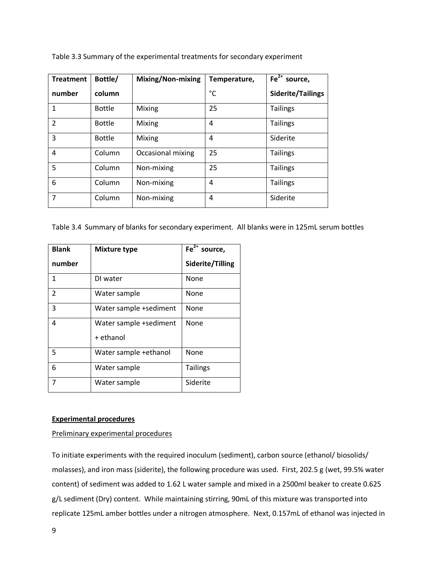| <b>Treatment</b> | Bottle/       | Mixing/Non-mixing | Temperature, | Fe <sup>2+</sup> source, |
|------------------|---------------|-------------------|--------------|--------------------------|
| number           | column        |                   | °C           | Siderite/Tailings        |
| $\mathbf{1}$     | <b>Bottle</b> | Mixing            | 25           | <b>Tailings</b>          |
| $\overline{2}$   | <b>Bottle</b> | Mixing            | 4            | <b>Tailings</b>          |
| 3                | <b>Bottle</b> | Mixing            | 4            | Siderite                 |
| 4                | Column        | Occasional mixing | 25           | <b>Tailings</b>          |
| 5                | Column        | Non-mixing        | 25           | <b>Tailings</b>          |
| 6                | Column        | Non-mixing        | 4            | <b>Tailings</b>          |
| 7                | Column        | Non-mixing        | 4            | Siderite                 |

<span id="page-8-1"></span>Table 3.3 Summary of the experimental treatments for secondary experiment

<span id="page-8-2"></span>Table 3.4 Summary of blanks for secondary experiment. All blanks were in 125mL serum bottles

| <b>Blank</b> | <b>Mixture type</b>    | $\overline{Fe^{2+}}$ source, |
|--------------|------------------------|------------------------------|
| number       |                        | Siderite/Tilling             |
| 1            | DI water               | None                         |
| 2            | Water sample           | None                         |
| 3            | Water sample +sediment | None                         |
| 4            | Water sample +sediment | None                         |
|              | + ethanol              |                              |
| 5            | Water sample +ethanol  | None                         |
| 6            | Water sample           | <b>Tailings</b>              |
| 7            | Water sample           | Siderite                     |

#### <span id="page-8-0"></span>**Experimental procedures**

#### Preliminary experimental procedures

To initiate experiments with the required inoculum (sediment), carbon source (ethanol/ biosolids/ molasses), and iron mass (siderite), the following procedure was used. First, 202.5 g (wet, 99.5% water content) of sediment was added to 1.62 L water sample and mixed in a 2500ml beaker to create 0.625 g/L sediment (Dry) content. While maintaining stirring, 90mL of this mixture was transported into replicate 125mL amber bottles under a nitrogen atmosphere. Next, 0.157mL of ethanol was injected in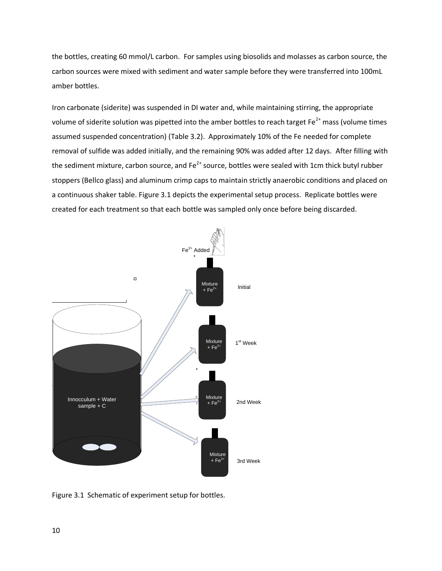the bottles, creating 60 mmol/L carbon. For samples using biosolids and molasses as carbon source, the carbon sources were mixed with sediment and water sample before they were transferred into 100mL amber bottles.

Iron carbonate (siderite) was suspended in DI water and, while maintaining stirring, the appropriate volume of siderite solution was pipetted into the amber bottles to reach target Fe $^{2+}$  mass (volume times assumed suspended concentration) (Table 3.2). Approximately 10% of the Fe needed for complete removal of sulfide was added initially, and the remaining 90% was added after 12 days. After filling with the sediment mixture, carbon source, and  $Fe^{2+}$  source, bottles were sealed with 1cm thick butyl rubber stoppers (Bellco glass) and aluminum crimp caps to maintain strictly anaerobic conditions and placed on a continuous shaker table. Figure 3.1 depicts the experimental setup process. Replicate bottles were created for each treatment so that each bottle was sampled only once before being discarded.



<span id="page-9-0"></span>Figure 3.1 Schematic of experiment setup for bottles.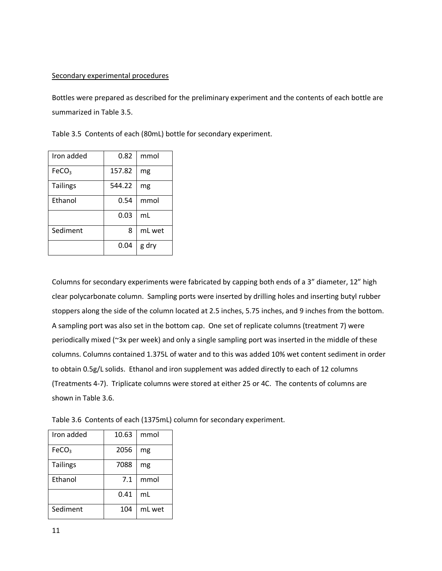#### Secondary experimental procedures

Bottles were prepared as described for the preliminary experiment and the contents of each bottle are summarized in Table 3.5.

<span id="page-10-0"></span>Table 3.5 Contents of each (80mL) bottle for secondary experiment.

| Iron added        | 0.82   | mmol   |
|-------------------|--------|--------|
| FeCO <sub>3</sub> | 157.82 | mg     |
| <b>Tailings</b>   | 544.22 | mg     |
| Ethanol           | 0.54   | mmol   |
|                   | 0.03   | mL     |
| Sediment          | 8      | mL wet |
|                   | 0.04   | g dry  |

Columns for secondary experiments were fabricated by capping both ends of a 3" diameter, 12" high clear polycarbonate column. Sampling ports were inserted by drilling holes and inserting butyl rubber stoppers along the side of the column located at 2.5 inches, 5.75 inches, and 9 inches from the bottom. A sampling port was also set in the bottom cap. One set of replicate columns (treatment 7) were periodically mixed (~3x per week) and only a single sampling port was inserted in the middle of these columns. Columns contained 1.375L of water and to this was added 10% wet content sediment in order to obtain 0.5g/L solids. Ethanol and iron supplement was added directly to each of 12 columns (Treatments 4-7). Triplicate columns were stored at either 25 or 4C. The contents of columns are shown in Table 3.6.

<span id="page-10-1"></span>

| Iron added        | 10.63 | mmol   |
|-------------------|-------|--------|
| FeCO <sub>3</sub> | 2056  | mg     |
| <b>Tailings</b>   | 7088  | mg     |
| Ethanol           | 7.1   | mmol   |
|                   | 0.41  | mL     |
| Sediment          | 104   | mL wet |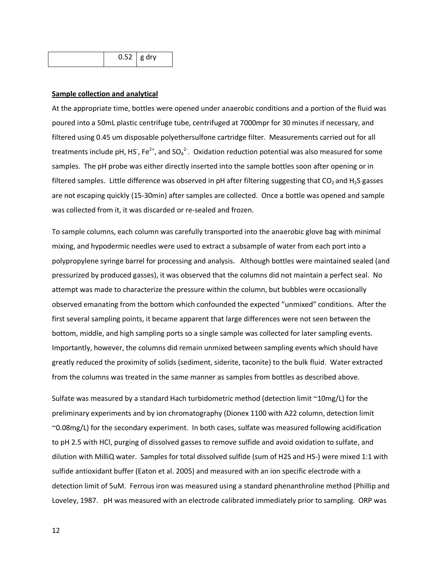|  | $0.52$ g dry |  |  |
|--|--------------|--|--|
|--|--------------|--|--|

#### <span id="page-11-0"></span>**Sample collection and analytical**

At the appropriate time, bottles were opened under anaerobic conditions and a portion of the fluid was poured into a 50mL plastic centrifuge tube, centrifuged at 7000mpr for 30 minutes if necessary, and filtered using 0.45 um disposable polyethersulfone cartridge filter. Measurements carried out for all treatments include pH, HS<sup>-</sup>, Fe<sup>2+</sup>, and SO<sub>4</sub><sup>2</sup>. Oxidation reduction potential was also measured for some samples. The pH probe was either directly inserted into the sample bottles soon after opening or in filtered samples. Little difference was observed in pH after filtering suggesting that  $CO<sub>2</sub>$  and H<sub>2</sub>S gasses are not escaping quickly (15-30min) after samples are collected. Once a bottle was opened and sample was collected from it, it was discarded or re-sealed and frozen.

To sample columns, each column was carefully transported into the anaerobic glove bag with minimal mixing, and hypodermic needles were used to extract a subsample of water from each port into a polypropylene syringe barrel for processing and analysis. Although bottles were maintained sealed (and pressurized by produced gasses), it was observed that the columns did not maintain a perfect seal. No attempt was made to characterize the pressure within the column, but bubbles were occasionally observed emanating from the bottom which confounded the expected "unmixed" conditions. After the first several sampling points, it became apparent that large differences were not seen between the bottom, middle, and high sampling ports so a single sample was collected for later sampling events. Importantly, however, the columns did remain unmixed between sampling events which should have greatly reduced the proximity of solids (sediment, siderite, taconite) to the bulk fluid. Water extracted from the columns was treated in the same manner as samples from bottles as described above.

Sulfate was measured by a standard Hach turbidometric method (detection limit ~10mg/L) for the preliminary experiments and by ion chromatography (Dionex 1100 with A22 column, detection limit ~0.08mg/L) for the secondary experiment. In both cases, sulfate was measured following acidification to pH 2.5 with HCl, purging of dissolved gasses to remove sulfide and avoid oxidation to sulfate, and dilution with MilliQ water. Samples for total dissolved sulfide (sum of H2S and HS-) were mixed 1:1 with sulfide antioxidant buffer (Eaton et al. 2005) and measured with an ion specific electrode with a detection limit of 5uM. Ferrous iron was measured using a standard phenanthroline method (Phillip and Loveley, 1987. pH was measured with an electrode calibrated immediately prior to sampling. ORP was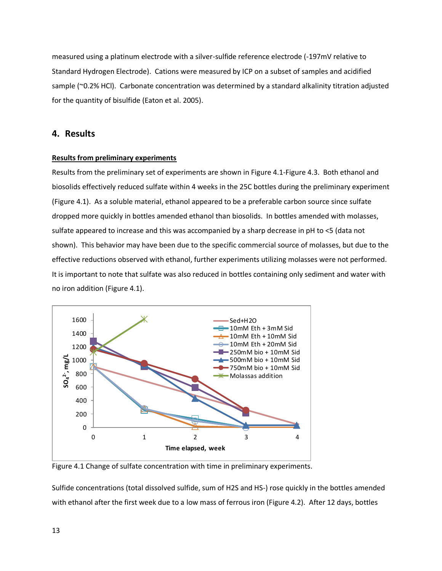measured using a platinum electrode with a silver-sulfide reference electrode (-197mV relative to Standard Hydrogen Electrode). Cations were measured by ICP on a subset of samples and acidified sample (~0.2% HCl). Carbonate concentration was determined by a standard alkalinity titration adjusted for the quantity of bisulfide (Eaton et al. 2005).

### <span id="page-12-0"></span>**4. Results**

#### <span id="page-12-1"></span>**Results from preliminary experiments**

Results from the preliminary set of experiments are shown in [Figure 4.1](#page-12-2)[-Figure 4.3.](#page-14-0) Both ethanol and biosolids effectively reduced sulfate within 4 weeks in the 25C bottles during the preliminary experiment [\(Figure 4.1\)](#page-12-2). As a soluble material, ethanol appeared to be a preferable carbon source since sulfate dropped more quickly in bottles amended ethanol than biosolids. In bottles amended with molasses, sulfate appeared to increase and this was accompanied by a sharp decrease in pH to <5 (data not shown). This behavior may have been due to the specific commercial source of molasses, but due to the effective reductions observed with ethanol, further experiments utilizing molasses were not performed. It is important to note that sulfate was also reduced in bottles containing only sediment and water with no iron addition (Figure 4.1).



<span id="page-12-2"></span>Figure 4.1 Change of sulfate concentration with time in preliminary experiments.

Sulfide concentrations (total dissolved sulfide, sum of H2S and HS-) rose quickly in the bottles amended with ethanol after the first week due to a low mass of ferrous iron [\(Figure 4.2\)](#page-13-0). After 12 days, bottles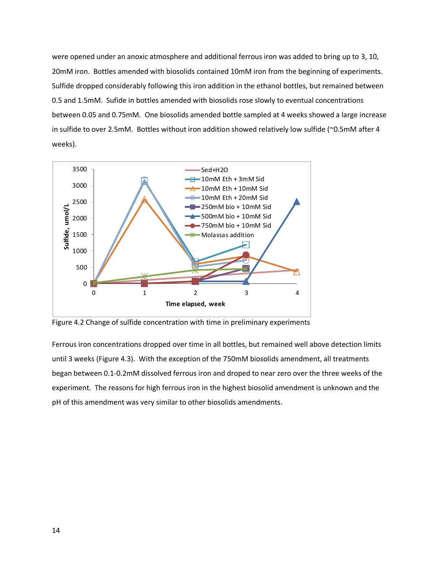were opened under an anoxic atmosphere and additional ferrous iron was added to bring up to 3, 10, 20mM iron. Bottles amended with biosolids contained 10mM iron from the beginning of experiments. Sulfide dropped considerably following this iron addition in the ethanol bottles, but remained between 0.5 and 1.5mM. Sufide in bottles amended with biosolids rose slowly to eventual concentrations between 0.05 and 0.75mM. One biosolids amended bottle sampled at 4 weeks showed a large increase in sulfide to over 2.5mM. Bottles without iron addition showed relatively low sulfide (~0.5mM after 4 weeks).



<span id="page-13-0"></span>Figure 4.2 Change of sulfide concentration with time in preliminary experiments

Ferrous iron concentrations dropped over time in all bottles, but remained well above detection limits until 3 weeks [\(Figure 4.3\)](#page-14-0). With the exception of the 750mM biosolids amendment, all treatments began between 0.1-0.2mM dissolved ferrous iron and droped to near zero over the three weeks of the experiment. The reasons for high ferrous iron in the highest biosolid amendment is unknown and the pH of this amendment was very similar to other biosolids amendments.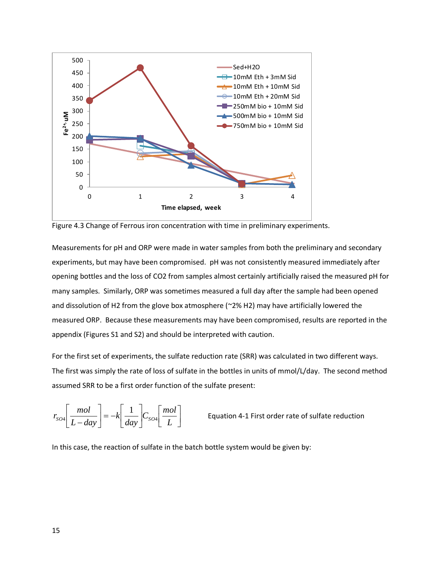

<span id="page-14-0"></span>Figure 4.3 Change of Ferrous iron concentration with time in preliminary experiments.

Measurements for pH and ORP were made in water samples from both the preliminary and secondary experiments, but may have been compromised. pH was not consistently measured immediately after opening bottles and the loss of CO2 from samples almost certainly artificially raised the measured pH for many samples. Similarly, ORP was sometimes measured a full day after the sample had been opened and dissolution of H2 from the glove box atmosphere (~2% H2) may have artificially lowered the measured ORP. Because these measurements may have been compromised, results are reported in the appendix (Figures S1 and S2) and should be interpreted with caution.

For the first set of experiments, the sulfate reduction rate (SRR) was calculated in two different ways. The first was simply the rate of loss of sulfate in the bottles in units of mmol/L/day. The second method assumed SRR to be a first order function of the sulfate present:

$$
r_{SO4}\left[\frac{mol}{L-day}\right] = -k\left[\frac{1}{day}\right]C_{SO4}\left[\frac{mol}{L}\right]
$$
 Equation 4-1 First order rate of sulfate reduction

In this case, the reaction of sulfate in the batch bottle system would be given by: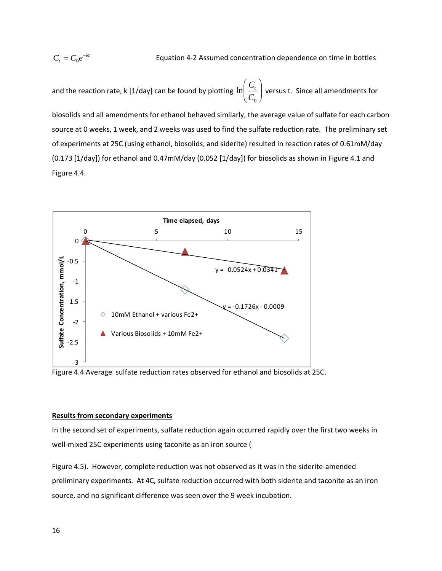### $C_t = C_0 e^{-t}$

Equation 4-2 Assumed concentration dependence on time in bottles

and the reaction rate, k [1/day] can be found by plotting  $\ln\left|\frac{C_t}{C}\right|$ J  $\backslash$  $\overline{\phantom{a}}$  $\setminus$ ſ 0 ln *C*  $\left| \frac{C_t}{C} \right|$  versus t. Since all amendments for

biosolids and all amendments for ethanol behaved similarly, the average value of sulfate for each carbon source at 0 weeks, 1 week, and 2 weeks was used to find the sulfate reduction rate. The preliminary set of experiments at 25C (using ethanol, biosolids, and siderite) resulted in reaction rates of 0.61mM/day (0.173 [1/day]) for ethanol and 0.47mM/day (0.052 [1/day]) for biosolids as shown in [Figure 4.1](#page-12-2) and [Figure 4.4.](#page-15-1)



<span id="page-15-1"></span>Figure 4.4 Average sulfate reduction rates observed for ethanol and biosolids at 25C.

#### <span id="page-15-0"></span>**Results from secondary experiments**

In the second set of experiments, sulfate reduction again occurred rapidly over the first two weeks in well-mixed 25C experiments using taconite as an iron source [\(](#page-16-1)

[Figure](#page-16-1) 4.5). However, complete reduction was not observed as it was in the siderite-amended preliminary experiments. At 4C, sulfate reduction occurred with both siderite and taconite as an iron source, and no significant difference was seen over the 9 week incubation.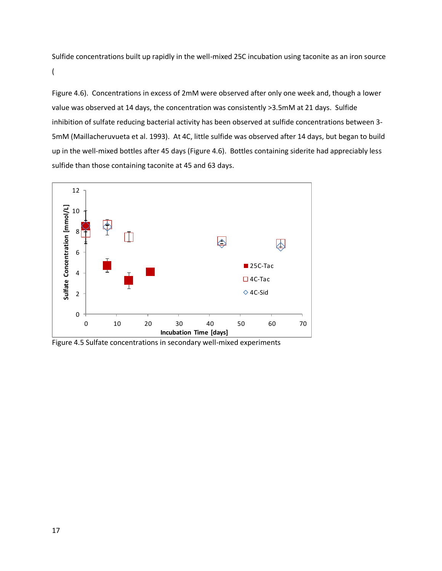Sulfide concentrations built up rapidly in the well-mixed 25C incubation using taconite as an iron source [\(](#page-17-1)

[Figure](#page-17-1) 4.6). Concentrations in excess of 2mM were observed after only one week and, though a lower value was observed at 14 days, the concentration was consistently >3.5mM at 21 days. Sulfide inhibition of sulfate reducing bacterial activity has been observed at sulfide concentrations between 3- 5mM (Maillacheruvueta et al. 1993). At 4C, little sulfide was observed after 14 days, but began to build up in the well-mixed bottles after 45 days (Figure 4.6). Bottles containing siderite had appreciably less sulfide than those containing taconite at 45 and 63 days.

<span id="page-16-1"></span>

<span id="page-16-0"></span>Figure 4.5 Sulfate concentrations in secondary well-mixed experiments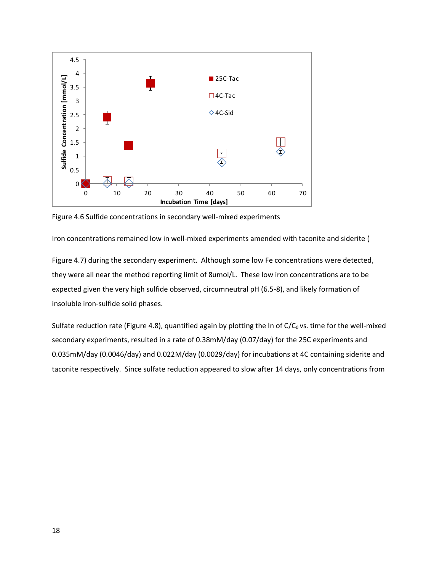<span id="page-17-1"></span>

<span id="page-17-0"></span>Figure 4.6 Sulfide concentrations in secondary well-mixed experiments

Iron concentrations remained low in well-mixed experiments amended with taconite and siderite [\(](#page-18-2)

[Figure](#page-18-2) 4.7) during the secondary experiment. Although some low Fe concentrations were detected, they were all near the method reporting limit of 8umol/L. These low iron concentrations are to be expected given the very high sulfide observed, circumneutral pH (6.5-8), and likely formation of insoluble iron-sulfide solid phases.

Sulfate reduction rate (Figure 4.8), quantified again by plotting the In of  $C/C_0$  vs. time for the well-mixed secondary experiments, resulted in a rate of 0.38mM/day (0.07/day) for the 25C experiments and 0.035mM/day (0.0046/day) and 0.022M/day (0.0029/day) for incubations at 4C containing siderite and taconite respectively. Since sulfate reduction appeared to slow after 14 days, only concentrations from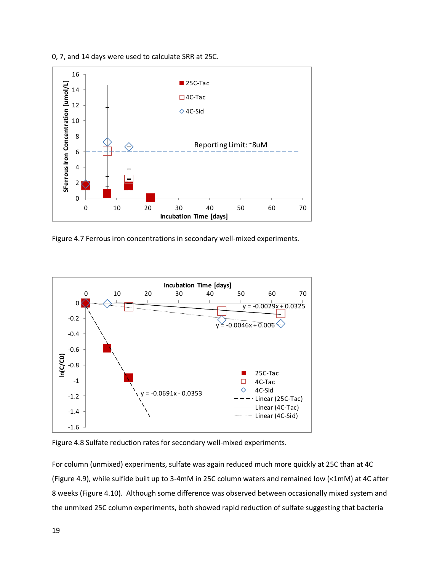

<span id="page-18-2"></span>

<span id="page-18-0"></span>Figure 4.7 Ferrous iron concentrations in secondary well-mixed experiments.



<span id="page-18-1"></span>Figure 4.8 Sulfate reduction rates for secondary well-mixed experiments.

For column (unmixed) experiments, sulfate was again reduced much more quickly at 25C than at 4C [\(Figure 4.9\)](#page-19-0), while sulfide built up to 3-4mM in 25C column waters and remained low (<1mM) at 4C after 8 weeks [\(Figure 4.10\)](#page-19-1). Although some difference was observed between occasionally mixed system and the unmixed 25C column experiments, both showed rapid reduction of sulfate suggesting that bacteria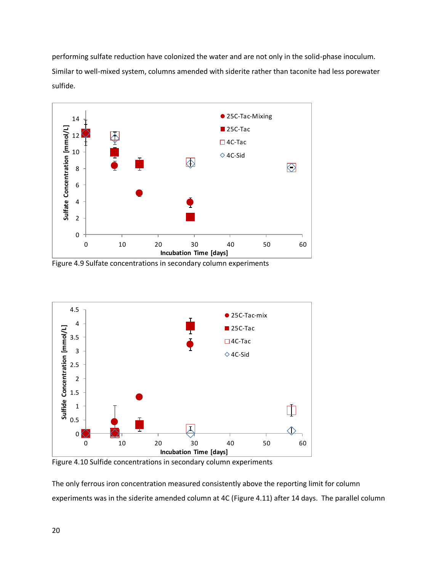performing sulfate reduction have colonized the water and are not only in the solid-phase inoculum. Similar to well-mixed system, columns amended with siderite rather than taconite had less porewater sulfide.



<span id="page-19-0"></span>Figure 4.9 Sulfate concentrations in secondary column experiments



<span id="page-19-1"></span>Figure 4.10 Sulfide concentrations in secondary column experiments

The only ferrous iron concentration measured consistently above the reporting limit for column experiments was in the siderite amended column at 4C [\(Figure 4.11\)](#page-20-0) after 14 days. The parallel column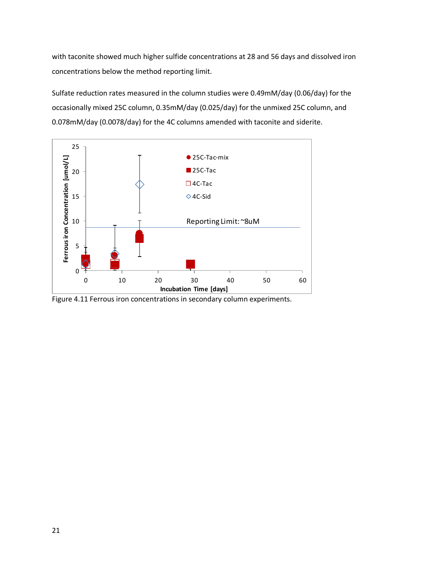with taconite showed much higher sulfide concentrations at 28 and 56 days and dissolved iron concentrations below the method reporting limit.

Sulfate reduction rates measured in the column studies were 0.49mM/day (0.06/day) for the occasionally mixed 25C column, 0.35mM/day (0.025/day) for the unmixed 25C column, and 0.078mM/day (0.0078/day) for the 4C columns amended with taconite and siderite.



<span id="page-20-0"></span>Figure 4.11 Ferrous iron concentrations in secondary column experiments.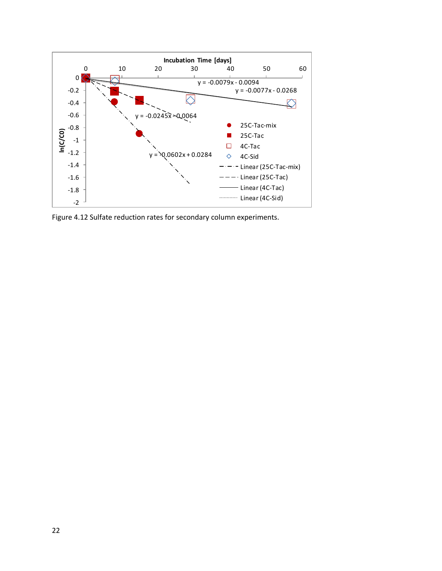

<span id="page-21-0"></span>Figure 4.12 Sulfate reduction rates for secondary column experiments.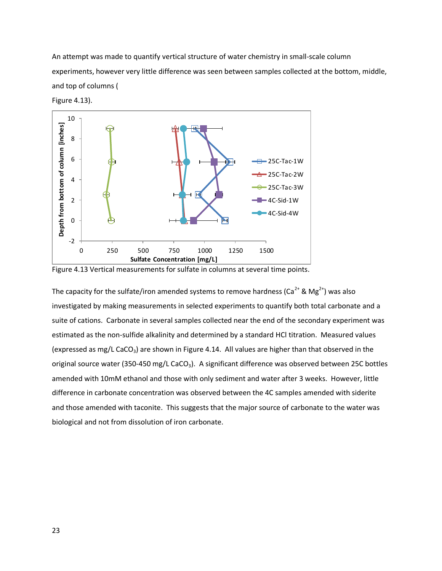An attempt was made to quantify vertical structure of water chemistry in small-scale column experiments, however very little difference was seen between samples collected at the bottom, middle, and top of columns [\(](#page-22-1)

<span id="page-22-1"></span>



<span id="page-22-0"></span>

The capacity for the sulfate/iron amended systems to remove hardness ( $Ca<sup>2+</sup>$  & Mg<sup>2+</sup>) was also investigated by making measurements in selected experiments to quantify both total carbonate and a suite of cations. Carbonate in several samples collected near the end of the secondary experiment was estimated as the non-sulfide alkalinity and determined by a standard HCl titration. Measured values (expressed as mg/L CaCO<sub>3</sub>) are shown in [Figure 4.14.](#page-23-0) All values are higher than that observed in the original source water (350-450 mg/L CaCO<sub>3</sub>). A significant difference was observed between 25C bottles amended with 10mM ethanol and those with only sediment and water after 3 weeks. However, little difference in carbonate concentration was observed between the 4C samples amended with siderite and those amended with taconite. This suggests that the major source of carbonate to the water was biological and not from dissolution of iron carbonate.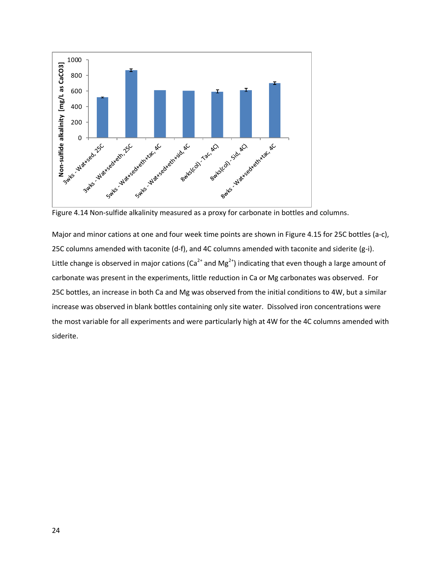

<span id="page-23-0"></span>Figure 4.14 Non-sulfide alkalinity measured as a proxy for carbonate in bottles and columns.

Major and minor cations at one and four week time points are shown in [Figure 4.15](#page-24-0) for 25C bottles (a-c), 25C columns amended with taconite (d-f), and 4C columns amended with taconite and siderite (g-i). Little change is observed in major cations ( $Ca^{2+}$  and Mg<sup>2+</sup>) indicating that even though a large amount of carbonate was present in the experiments, little reduction in Ca or Mg carbonates was observed. For 25C bottles, an increase in both Ca and Mg was observed from the initial conditions to 4W, but a similar increase was observed in blank bottles containing only site water. Dissolved iron concentrations were the most variable for all experiments and were particularly high at 4W for the 4C columns amended with siderite.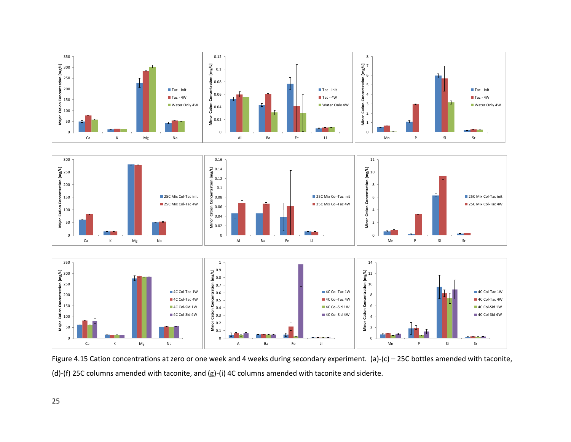

<span id="page-24-0"></span>Figure 4.15 Cation concentrations at zero or one week and 4 weeks during secondary experiment. (a)-(c) – 25C bottles amended with taconite, (d)-(f) 25C columns amended with taconite, and (g)-(i) 4C columns amended with taconite and siderite.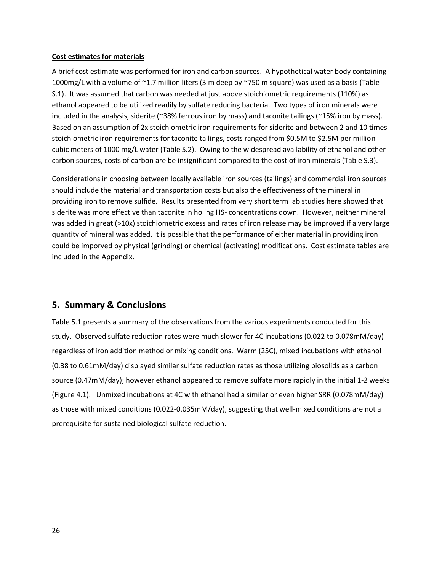#### <span id="page-25-0"></span>**Cost estimates for materials**

A brief cost estimate was performed for iron and carbon sources. A hypothetical water body containing 1000mg/L with a volume of ~1.7 million liters (3 m deep by ~750 m square) was used as a basis (Table S.1). It was assumed that carbon was needed at just above stoichiometric requirements (110%) as ethanol appeared to be utilized readily by sulfate reducing bacteria. Two types of iron minerals were included in the analysis, siderite (~38% ferrous iron by mass) and taconite tailings (~15% iron by mass). Based on an assumption of 2x stoichiometric iron requirements for siderite and between 2 and 10 times stoichiometric iron requirements for taconite tailings, costs ranged from \$0.5M to \$2.5M per million cubic meters of 1000 mg/L water (Table S.2). Owing to the widespread availability of ethanol and other carbon sources, costs of carbon are be insignificant compared to the cost of iron minerals (Table S.3).

Considerations in choosing between locally available iron sources (tailings) and commercial iron sources should include the material and transportation costs but also the effectiveness of the mineral in providing iron to remove sulfide. Results presented from very short term lab studies here showed that siderite was more effective than taconite in holing HS- concentrations down. However, neither mineral was added in great (>10x) stoichiometric excess and rates of iron release may be improved if a very large quantity of mineral was added. It is possible that the performance of either material in providing iron could be imporved by physical (grinding) or chemical (activating) modifications. Cost estimate tables are included in the Appendix.

### <span id="page-25-1"></span>**5. Summary & Conclusions**

<span id="page-25-2"></span>Table 5.1 presents a summary of the observations from the various experiments conducted for this study. Observed sulfate reduction rates were much slower for 4C incubations (0.022 to 0.078mM/day) regardless of iron addition method or mixing conditions. Warm (25C), mixed incubations with ethanol (0.38 to 0.61mM/day) displayed similar sulfate reduction rates as those utilizing biosolids as a carbon source (0.47mM/day); however ethanol appeared to remove sulfate more rapidly in the initial 1-2 weeks [\(Figure 4.1\)](#page-12-2). Unmixed incubations at 4C with ethanol had a similar or even higher SRR (0.078mM/day) as those with mixed conditions (0.022-0.035mM/day), suggesting that well-mixed conditions are not a prerequisite for sustained biological sulfate reduction.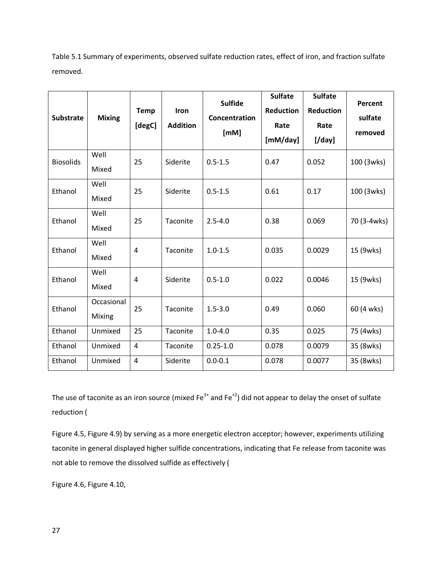<span id="page-26-0"></span>Table 5.1 Summary of experiments, observed sulfate reduction rates, effect of iron, and fraction sulfate removed.

| <b>Substrate</b> | <b>Mixing</b>        | <b>Temp</b><br>[degC] | Iron<br><b>Addition</b> | <b>Sulfide</b><br>Concentration<br>[mM] | <b>Sulfate</b><br><b>Reduction</b><br>Rate<br>[mM/day] | <b>Sulfate</b><br>Reduction<br>Rate<br>$[$ /day $]$ | Percent<br>sulfate<br>removed |
|------------------|----------------------|-----------------------|-------------------------|-----------------------------------------|--------------------------------------------------------|-----------------------------------------------------|-------------------------------|
| <b>Biosolids</b> | Well<br>Mixed        | 25                    | Siderite                | $0.5 - 1.5$                             | 0.47                                                   | 0.052                                               | 100 (3wks)                    |
| Ethanol          | Well<br>Mixed        | 25                    | Siderite                | $0.5 - 1.5$                             | 0.61                                                   | 0.17                                                | 100 (3wks)                    |
| Ethanol          | Well<br>Mixed        | 25                    | Taconite                | $2.5 - 4.0$                             | 0.38                                                   | 0.069                                               | 70 (3-4wks)                   |
| Ethanol          | Well<br>Mixed        | 4                     | Taconite                | $1.0 - 1.5$                             | 0.035                                                  | 0.0029                                              | 15 (9wks)                     |
| Ethanol          | Well<br>Mixed        | 4                     | Siderite                | $0.5 - 1.0$                             | 0.022                                                  | 0.0046                                              | 15 (9wks)                     |
| Ethanol          | Occasional<br>Mixing | 25                    | Taconite                | $1.5 - 3.0$                             | 0.49                                                   | 0.060                                               | 60 (4 wks)                    |
| Ethanol          | Unmixed              | 25                    | Taconite                | $1.0 - 4.0$                             | 0.35                                                   | 0.025                                               | 75 (4wks)                     |
| Ethanol          | Unmixed              | $\overline{4}$        | Taconite                | $0.25 - 1.0$                            | 0.078                                                  | 0.0079                                              | 35 (8wks)                     |
| Ethanol          | Unmixed              | $\overline{4}$        | Siderite                | $0.0 - 0.1$                             | 0.078                                                  | 0.0077                                              | 35 (8wks)                     |

The use of taconite as an iron source (mixed Fe<sup>3+</sup> and Fe<sup>+2</sup>) did not appear to delay the onset of sulfate reduction [\(](#page-16-1)

[Figure](#page-16-1) 4.5[, Figure 4.9\)](#page-19-0) by serving as a more energetic electron acceptor; however, experiments utilizing taconite in general displayed higher sulfide concentrations, indicating that Fe release from taconite was not able to remove the dissolved sulfide as effectively [\(](#page-17-1)

[Figure](#page-17-1) 4.6[, Figure 4.10,](#page-19-1)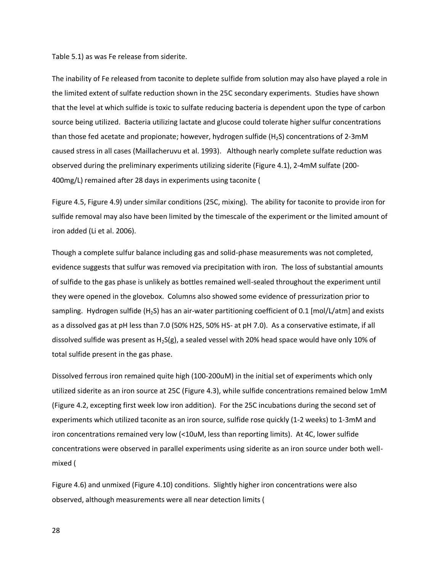[Table](#page-25-2) 5.1) as was Fe release from siderite.

The inability of Fe released from taconite to deplete sulfide from solution may also have played a role in the limited extent of sulfate reduction shown in the 25C secondary experiments. Studies have shown that the level at which sulfide is toxic to sulfate reducing bacteria is dependent upon the type of carbon source being utilized. Bacteria utilizing lactate and glucose could tolerate higher sulfur concentrations than those fed acetate and propionate; however, hydrogen sulfide  $(H_2S)$  concentrations of 2-3mM caused stress in all cases (Maillacheruvu et al. 1993). Although nearly complete sulfate reduction was observed during the preliminary experiments utilizing siderite [\(Figure 4.1\)](#page-12-2), 2-4mM sulfate (200- 400mg/L) remained after 28 days in experiments using taconite [\(](#page-16-1)

[Figure](#page-16-1) 4.5[, Figure 4.9\)](#page-19-0) under similar conditions (25C, mixing). The ability for taconite to provide iron for sulfide removal may also have been limited by the timescale of the experiment or the limited amount of iron added (Li et al. 2006).

Though a complete sulfur balance including gas and solid-phase measurements was not completed, evidence suggests that sulfur was removed via precipitation with iron. The loss of substantial amounts of sulfide to the gas phase is unlikely as bottles remained well-sealed throughout the experiment until they were opened in the glovebox. Columns also showed some evidence of pressurization prior to sampling. Hydrogen sulfide (H<sub>2</sub>S) has an air-water partitioning coefficient of 0.1 [mol/L/atm] and exists as a dissolved gas at pH less than 7.0 (50% H2S, 50% HS- at pH 7.0). As a conservative estimate, if all dissolved sulfide was present as  $H_2S(g)$ , a sealed vessel with 20% head space would have only 10% of total sulfide present in the gas phase.

Dissolved ferrous iron remained quite high (100-200uM) in the initial set of experiments which only utilized siderite as an iron source at 25C [\(Figure 4.3\)](#page-14-0), while sulfide concentrations remained below 1mM [\(Figure 4.2,](#page-13-0) excepting first week low iron addition). For the 25C incubations during the second set of experiments which utilized taconite as an iron source, sulfide rose quickly (1-2 weeks) to 1-3mM and iron concentrations remained very low (<10uM, less than reporting limits). At 4C, lower sulfide concentrations were observed in parallel experiments using siderite as an iron source under both wellmixed [\(](#page-17-1)

[Figure](#page-17-1) 4.6) and unmixed [\(Figure 4.10\)](#page-19-1) conditions. Slightly higher iron concentrations were also observed, although measurements were all near detection limits [\(](#page-18-2)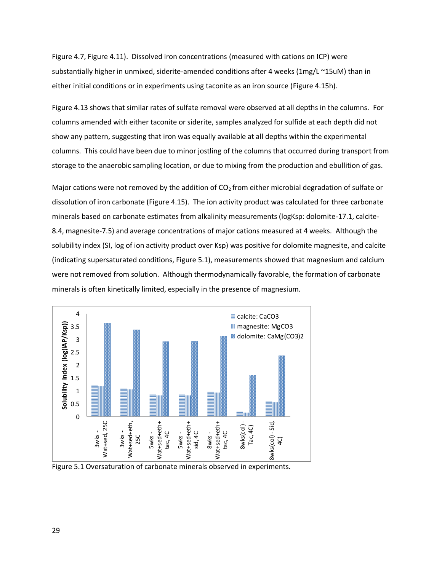[Figure](#page-18-2) 4.7[, Figure 4.11\)](#page-20-0). Dissolved iron concentrations (measured with cations on ICP) were substantially higher in unmixed, siderite-amended conditions after 4 weeks (1mg/L ~15uM) than in either initial conditions or in experiments using taconite as an iron source [\(Figure 4.15h](#page-24-0)).

[Figure 4.13](#page-22-0) shows that similar rates of sulfate removal were observed at all depths in the columns. For columns amended with either taconite or siderite, samples analyzed for sulfide at each depth did not show any pattern, suggesting that iron was equally available at all depths within the experimental columns. This could have been due to minor jostling of the columns that occurred during transport from storage to the anaerobic sampling location, or due to mixing from the production and ebullition of gas.

Major cations were not removed by the addition of  $CO<sub>2</sub>$  from either microbial degradation of sulfate or dissolution of iron carbonate [\(Figure 4.15\)](#page-24-0). The ion activity product was calculated for three carbonate minerals based on carbonate estimates from alkalinity measurements (logKsp: dolomite-17.1, calcite-8.4, magnesite-7.5) and average concentrations of major cations measured at 4 weeks. Although the solubility index (SI, log of ion activity product over Ksp) was positive for dolomite magnesite, and calcite (indicating supersaturated conditions, [Figure 5.1\)](#page-28-0), measurements showed that magnesium and calcium were not removed from solution. Although thermodynamically favorable, the formation of carbonate minerals is often kinetically limited, especially in the presence of magnesium.



<span id="page-28-0"></span>Figure 5.1 Oversaturation of carbonate minerals observed in experiments.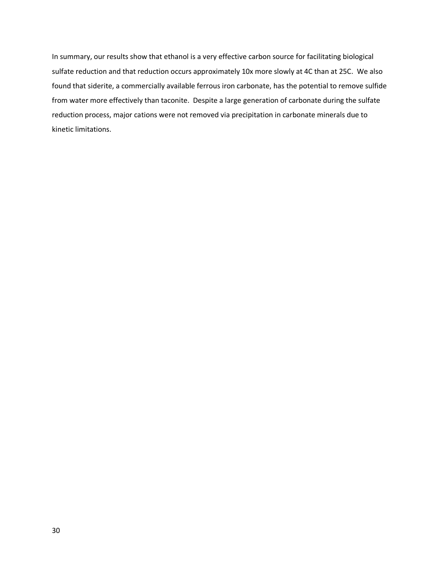In summary, our results show that ethanol is a very effective carbon source for facilitating biological sulfate reduction and that reduction occurs approximately 10x more slowly at 4C than at 25C. We also found that siderite, a commercially available ferrous iron carbonate, has the potential to remove sulfide from water more effectively than taconite. Despite a large generation of carbonate during the sulfate reduction process, major cations were not removed via precipitation in carbonate minerals due to kinetic limitations.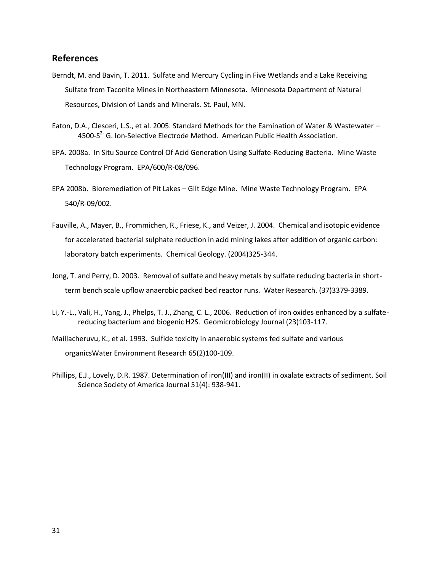#### <span id="page-30-0"></span>**References**

- Berndt, M. and Bavin, T. 2011. Sulfate and Mercury Cycling in Five Wetlands and a Lake Receiving Sulfate from Taconite Mines in Northeastern Minnesota. Minnesota Department of Natural Resources, Division of Lands and Minerals. St. Paul, MN.
- Eaton, D.A., Clesceri, L.S., et al. 2005. Standard Methods for the Eamination of Water & Wastewater 4500-S<sup>2-</sup> G. Ion-Selective Electrode Method. American Public Health Association.
- EPA. 2008a. In Situ Source Control Of Acid Generation Using Sulfate-Reducing Bacteria. Mine Waste Technology Program. EPA/600/R-08/096.
- EPA 2008b. Bioremediation of Pit Lakes Gilt Edge Mine. Mine Waste Technology Program. EPA 540/R-09/002.
- Fauville, A., Mayer, B., Frommichen, R., Friese, K., and Veizer, J. 2004. Chemical and isotopic evidence for accelerated bacterial sulphate reduction in acid mining lakes after addition of organic carbon: laboratory batch experiments. Chemical Geology. (2004)325-344.
- Jong, T. and Perry, D. 2003. Removal of sulfate and heavy metals by sulfate reducing bacteria in shortterm bench scale upflow anaerobic packed bed reactor runs. Water Research. (37)3379-3389.
- Li, Y.-L., Vali, H., Yang, J., Phelps, T. J., Zhang, C. L., 2006. Reduction of iron oxides enhanced by a sulfatereducing bacterium and biogenic H2S. Geomicrobiology Journal (23)103-117.
- Maillacheruvu, K., et al. 1993. Sulfide toxicity in anaerobic systems fed sulfate and various organicsWater Environment Research 65(2)100-109.
- Phillips, E.J., Lovely, D.R. 1987. Determination of iron(III) and iron(II) in oxalate extracts of sediment. Soil Science Society of America Journal 51(4): 938-941.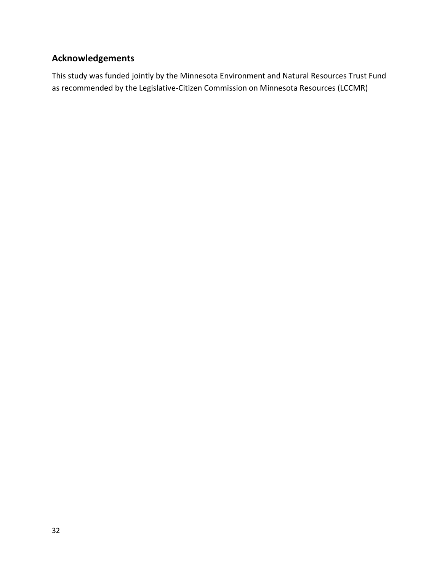## <span id="page-31-0"></span>**Acknowledgements**

This study was funded jointly by the Minnesota Environment and Natural Resources Trust Fund as recommended by the Legislative-Citizen Commission on Minnesota Resources (LCCMR)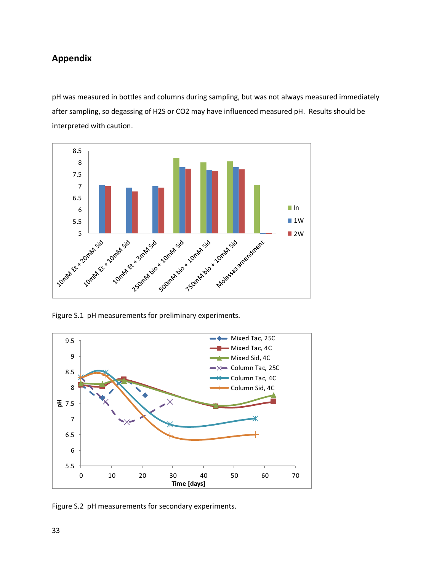### <span id="page-32-0"></span>**Appendix**

pH was measured in bottles and columns during sampling, but was not always measured immediately after sampling, so degassing of H2S or CO2 may have influenced measured pH. Results should be interpreted with caution.



Figure S.1 pH measurements for preliminary experiments.



Figure S.2 pH measurements for secondary experiments.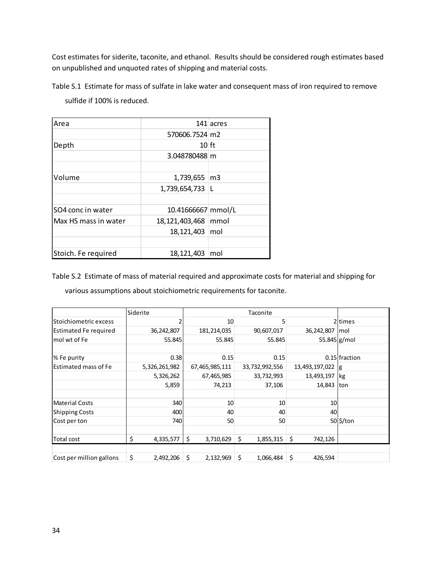Cost estimates for siderite, taconite, and ethanol. Results should be considered rough estimates based on unpublished and unquoted rates of shipping and material costs.

Table S.1 Estimate for mass of sulfate in lake water and consequent mass of iron required to remove sulfide if 100% is reduced.

| Area                 |                    | 141 acres      |
|----------------------|--------------------|----------------|
|                      | 570606.7524 m2     |                |
| Depth                | $10$ ft            |                |
|                      | 3.048780488 m      |                |
|                      |                    |                |
| Volume               | 1,739,655          | $\mathsf{Im}3$ |
|                      | 1,739,654,733 L    |                |
|                      |                    |                |
| SO4 conc in water    | 10.41666667 mmol/L |                |
| Max HS mass in water | 18, 121, 403, 468  | mmol           |
|                      | 18,121,403 mol     |                |
|                      |                    |                |
| Stoich. Fe required  | 18,121,403         | mol            |

Table S.2 Estimate of mass of material required and approximate costs for material and shipping for various assumptions about stoichiometric requirements for taconite.

|                          | Siderite        |                 | Taconite        |                |                     |
|--------------------------|-----------------|-----------------|-----------------|----------------|---------------------|
| Stoichiometric excess    | 2               | 10              | 5               |                | 2 <sub>ltimes</sub> |
| Estimated Fe required    | 36,242,807      | 181,214,035     | 90,607,017      | 36,242,807     | mol                 |
| mol wt of Fe             | 55.845          | 55.845          | 55.845          | $55.845$ g/mol |                     |
|                          |                 |                 |                 |                |                     |
| % Fe purity              | 0.38            | 0.15            | 0.15            |                | $0.15$ fraction     |
| Estimated mass of Fe     | 5,326,261,982   | 67,465,985,111  | 33,732,992,556  | 13,493,197,022 | g                   |
|                          | 5,326,262       | 67,465,985      | 33,732,993      | 13,493,197     | kg                  |
|                          | 5,859           | 74,213          | 37,106          | 14,843         | ton                 |
|                          |                 |                 |                 |                |                     |
| <b>Material Costs</b>    | 340             | 10              | 10              | 10             |                     |
| <b>Shipping Costs</b>    | 400             | 40              | 40              | 40             |                     |
| Cost per ton             | <b>740</b>      | 50              | 50              |                | 50 \$/ton           |
|                          |                 |                 |                 |                |                     |
| Total cost               | \$<br>4,335,577 | \$<br>3,710,629 | \$<br>1,855,315 | \$<br>742,126  |                     |
|                          |                 |                 |                 |                |                     |
| Cost per million gallons | \$<br>2,492,206 | \$<br>2,132,969 | Ŝ.<br>1,066,484 | \$<br>426,594  |                     |